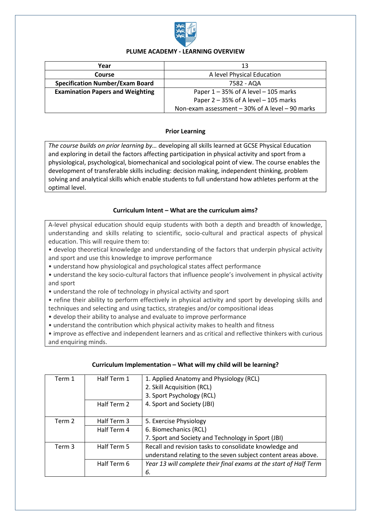

### **PLUME ACADEMY - LEARNING OVERVIEW**

| Year                                    | 13                                                 |
|-----------------------------------------|----------------------------------------------------|
| Course                                  | A level Physical Education                         |
| <b>Specification Number/Exam Board</b>  | 7582 - AQA                                         |
| <b>Examination Papers and Weighting</b> | Paper $1 - 35\%$ of A level $-105$ marks           |
|                                         | Paper $2 - 35\%$ of A level $- 105$ marks          |
|                                         | Non-exam assessment $-30\%$ of A level $-90$ marks |

### **Prior Learning**

*The course builds on prior learning by…* developing all skills learned at GCSE Physical Education and exploring in detail the factors affecting participation in physical activity and sport from a physiological, psychological, biomechanical and sociological point of view. The course enables the development of transferable skills including: decision making, independent thinking, problem solving and analytical skills which enable students to full understand how athletes perform at the optimal level.

### **Curriculum Intent – What are the curriculum aims?**

A-level physical education should equip students with both a depth and breadth of knowledge, understanding and skills relating to scientific, socio-cultural and practical aspects of physical education. This will require them to:

• develop theoretical knowledge and understanding of the factors that underpin physical activity and sport and use this knowledge to improve performance

• understand how physiological and psychological states affect performance

• understand the key socio-cultural factors that influence people's involvement in physical activity and sport

• understand the role of technology in physical activity and sport

• refine their ability to perform effectively in physical activity and sport by developing skills and techniques and selecting and using tactics, strategies and/or compositional ideas

• develop their ability to analyse and evaluate to improve performance

• understand the contribution which physical activity makes to health and fitness

• improve as effective and independent learners and as critical and reflective thinkers with curious and enquiring minds.

| Term 1 | Half Term 1 | 1. Applied Anatomy and Physiology (RCL)<br>2. Skill Acquisition (RCL)<br>3. Sport Psychology (RCL) |
|--------|-------------|----------------------------------------------------------------------------------------------------|
|        | Half Term 2 | 4. Sport and Society (JBI)                                                                         |
| Term 2 | Half Term 3 | 5. Exercise Physiology                                                                             |
|        | Half Term 4 | 6. Biomechanics (RCL)                                                                              |
|        |             | 7. Sport and Society and Technology in Sport (JBI)                                                 |
| Term 3 | Half Term 5 | Recall and revision tasks to consolidate knowledge and                                             |
|        |             | understand relating to the seven subject content areas above.                                      |
|        | Half Term 6 | Year 13 will complete their final exams at the start of Half Term                                  |
|        |             | 6.                                                                                                 |

#### **Curriculum Implementation – What will my child will be learning?**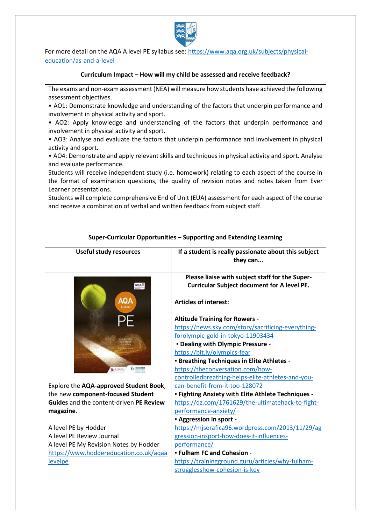

For more detail on the AQA A level PE syllabus see: [https://www.aqa.org.uk/subjects/physical](https://www.aqa.org.uk/subjects/physical-education/as-and-a-level)[education/as-and-a-level](https://www.aqa.org.uk/subjects/physical-education/as-and-a-level)

#### **Curriculum Impact – How will my child be assessed and receive feedback?**

The exams and non-exam assessment (NEA) will measure how students have achieved the following assessment objectives.

• AO1: Demonstrate knowledge and understanding of the factors that underpin performance and involvement in physical activity and sport.

• AO2: Apply knowledge and understanding of the factors that underpin performance and involvement in physical activity and sport.

• AO3: Analyse and evaluate the factors that underpin performance and involvement in physical activity and sport.

• AO4: Demonstrate and apply relevant skills and techniques in physical activity and sport. Analyse and evaluate performance.

Students will receive independent study (i.e. homework) relating to each aspect of the course in the format of examination questions, the quality of revision notes and notes taken from Ever Learner presentations.

Students will complete comprehensive End of Unit (EUA) assessment for each aspect of the course and receive a combination of verbal and written feedback from subject staff.

| <b>Useful study resources</b>                  | If a student is really passionate about this subject<br>they can                                      |
|------------------------------------------------|-------------------------------------------------------------------------------------------------------|
| AQAD                                           | Please liaise with subject staff for the Super-<br><b>Curricular Subject document for A level PE.</b> |
| AQA                                            | <b>Articles of interest:</b>                                                                          |
|                                                | <b>Altitude Training for Rowers -</b>                                                                 |
|                                                | https://news.sky.com/story/sacrificing-everything-                                                    |
|                                                | forolympic-gold-in-tokyo-11903434                                                                     |
|                                                | - Dealing with Olympic Pressure -                                                                     |
|                                                | https://bit.ly/olympics-fear                                                                          |
|                                                | - Breathing Techniques in Elite Athletes -                                                            |
| <b>DE</b> STRANIC                              | https://theconversation.com/how-                                                                      |
|                                                | controlledbreathing-helps-elite-athletes-and-you-                                                     |
| Explore the AQA-approved Student Book,         | can-benefit-from-it-too-128072                                                                        |
| the new component-focused Student              | - Fighting Anxiety with Elite Athlete Techniques -                                                    |
| <b>Guides</b> and the content-driven PE Review | https://qz.com/1761629/the-ultimatehack-to-fight-                                                     |
| magazine.                                      | performance-anxiety/                                                                                  |
|                                                | - Aggression in sport -                                                                               |
| A level PE by Hodder                           | https://mjserafica96.wordpress.com/2013/11/29/ag                                                      |
| A level PE Review Journal                      | gression-insport-how-does-it-influences-                                                              |
| A level PE My Revision Notes by Hodder         | performance/                                                                                          |
| https://www.hoddereducation.co.uk/aqaa         | - Fulham FC and Cohesion -                                                                            |
| levelpe                                        | https://trainingground.guru/articles/why-fulham-                                                      |
|                                                | strugglesshow-cohesion-is-key                                                                         |

### **Super-Curricular Opportunities – Supporting and Extending Learning**